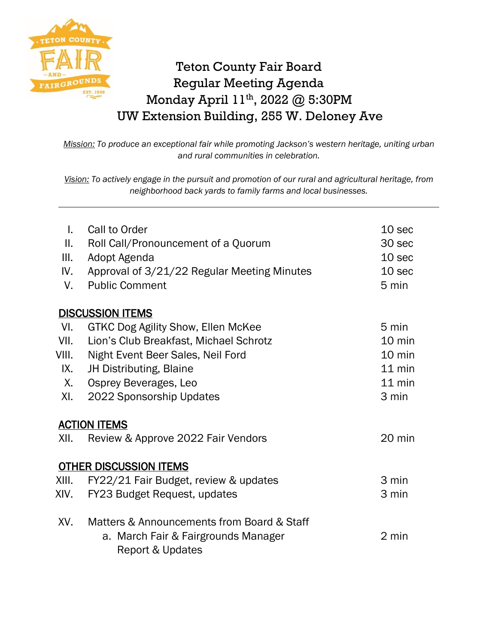

## Teton County Fair Board Regular Meeting Agenda Monday April 11th, 2022 @ 5:30PM UW Extension Building, 255 W. Deloney Ave

*Mission: To produce an exceptional fair while promoting Jackson's western heritage, uniting urban and rural communities in celebration.*

*Vision: To actively engage in the pursuit and promotion of our rural and agricultural heritage, from neighborhood back yards to family farms and local businesses.*

| L.<br>Ш.<br>III.<br>IV.<br>V. | Call to Order<br>Roll Call/Pronouncement of a Quorum<br>Adopt Agenda<br>Approval of 3/21/22 Regular Meeting Minutes<br><b>Public Comment</b> | 10 <sub>sec</sub><br>30 sec<br>10 sec<br>10 sec<br>5 min |  |
|-------------------------------|----------------------------------------------------------------------------------------------------------------------------------------------|----------------------------------------------------------|--|
|                               | <b>DISCUSSION ITEMS</b>                                                                                                                      |                                                          |  |
| VI.                           | GTKC Dog Agility Show, Ellen McKee                                                                                                           | 5 min                                                    |  |
| VII.                          | Lion's Club Breakfast, Michael Schrotz                                                                                                       | 10 min                                                   |  |
| VIII.                         | Night Event Beer Sales, Neil Ford                                                                                                            | 10 min                                                   |  |
| IX.                           | JH Distributing, Blaine                                                                                                                      | $11$ min                                                 |  |
| X.                            | Osprey Beverages, Leo                                                                                                                        | $11$ min                                                 |  |
| XI.                           | 2022 Sponsorship Updates                                                                                                                     | 3 min                                                    |  |
| <b>ACTION ITEMS</b>           |                                                                                                                                              |                                                          |  |
| XII.                          | Review & Approve 2022 Fair Vendors                                                                                                           | 20 min                                                   |  |
|                               | <b>OTHER DISCUSSION ITEMS</b>                                                                                                                |                                                          |  |
| XIII.                         | FY22/21 Fair Budget, review & updates                                                                                                        | 3 min                                                    |  |
| XIV.                          | FY23 Budget Request, updates                                                                                                                 | 3 min                                                    |  |
| XV.                           | Matters & Announcements from Board & Staff<br>a. March Fair & Fairgrounds Manager<br><b>Report &amp; Updates</b>                             | 2 min                                                    |  |